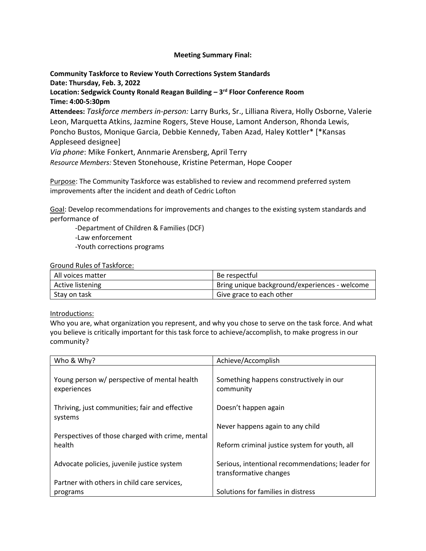## **Meeting Summary Final:**

# **Community Taskforce to Review Youth Corrections System Standards Date: Thursday, Feb. 3, 2022**

**Location: Sedgwick County Ronald Reagan Building – 3 rd Floor Conference Room Time: 4:00-5:30pm** 

**Attendees:** *Taskforce members in-person:* Larry Burks, Sr., Lilliana Rivera, Holly Osborne, Valerie Leon, Marquetta Atkins, Jazmine Rogers, Steve House, Lamont Anderson, Rhonda Lewis, Poncho Bustos, Monique Garcia, Debbie Kennedy, Taben Azad, Haley Kottler\* [\*Kansas Appleseed designee]

*Via phone*: Mike Fonkert, Annmarie Arensberg, April Terry

*Resource Members:* Steven Stonehouse, Kristine Peterman, Hope Cooper

Purpose: The Community Taskforce was established to review and recommend preferred system improvements after the incident and death of Cedric Lofton

Goal: Develop recommendations for improvements and changes to the existing system standards and performance of

-Department of Children & Families (DCF)

-Law enforcement

-Youth corrections programs

Ground Rules of Taskforce:

| All voices matter | Be respectful                                 |
|-------------------|-----------------------------------------------|
| Active listening  | Bring unique background/experiences - welcome |
| Stay on task      | Give grace to each other                      |

Introductions:

Who you are, what organization you represent, and why you chose to serve on the task force. And what you believe is critically important for this task force to achieve/accomplish, to make progress in our community?

| Who & Why?                                                  | Achieve/Accomplish                                                         |
|-------------------------------------------------------------|----------------------------------------------------------------------------|
| Young person w/ perspective of mental health<br>experiences | Something happens constructively in our<br>community                       |
| Thriving, just communities; fair and effective<br>systems   | Doesn't happen again                                                       |
|                                                             | Never happens again to any child                                           |
| Perspectives of those charged with crime, mental<br>health  | Reform criminal justice system for youth, all                              |
| Advocate policies, juvenile justice system                  | Serious, intentional recommendations; leader for<br>transformative changes |
| Partner with others in child care services,                 |                                                                            |
| programs                                                    | Solutions for families in distress                                         |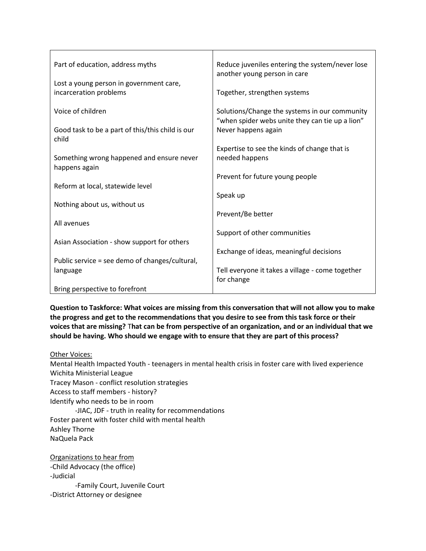| Part of education, address myths                                  | Reduce juveniles entering the system/never lose<br>another young person in care                  |
|-------------------------------------------------------------------|--------------------------------------------------------------------------------------------------|
| Lost a young person in government care,<br>incarceration problems | Together, strengthen systems                                                                     |
| Voice of children                                                 | Solutions/Change the systems in our community<br>"when spider webs unite they can tie up a lion" |
| Good task to be a part of this/this child is our<br>child         | Never happens again                                                                              |
|                                                                   | Expertise to see the kinds of change that is                                                     |
| Something wrong happened and ensure never<br>happens again        | needed happens                                                                                   |
|                                                                   | Prevent for future young people                                                                  |
| Reform at local, statewide level                                  |                                                                                                  |
|                                                                   | Speak up                                                                                         |
| Nothing about us, without us                                      | Prevent/Be better                                                                                |
| All avenues                                                       |                                                                                                  |
|                                                                   | Support of other communities                                                                     |
| Asian Association - show support for others                       | Exchange of ideas, meaningful decisions                                                          |
| Public service = see demo of changes/cultural,                    |                                                                                                  |
| language                                                          | Tell everyone it takes a village - come together                                                 |
|                                                                   | for change                                                                                       |
| Bring perspective to forefront                                    |                                                                                                  |

**Question to Taskforce: What voices are missing from this conversation that will not allow you to make the progress and get to the recommendations that you desire to see from this task force or their voices that are missing?** T**hat can be from perspective of an organization, and or an individual that we should be having. Who should we engage with to ensure that they are part of this process?**

## Other Voices:

Mental Health Impacted Youth - teenagers in mental health crisis in foster care with lived experience Wichita Ministerial League Tracey Mason - conflict resolution strategies Access to staff members - history? Identify who needs to be in room -JIAC, JDF - truth in reality for recommendations Foster parent with foster child with mental health Ashley Thorne NaQuela Pack Organizations to hear from -Child Advocacy (the office) -Judicial -Family Court, Juvenile Court -District Attorney or designee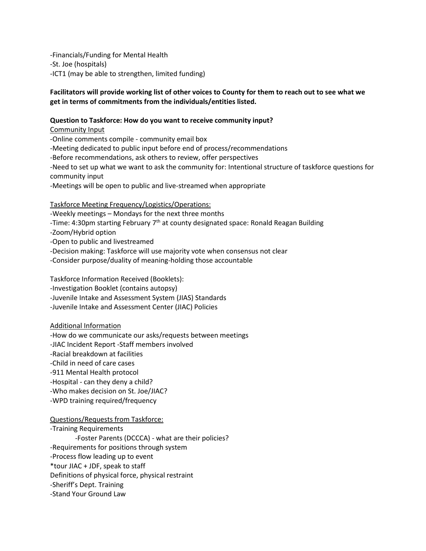-Financials/Funding for Mental Health -St. Joe (hospitals) -ICT1 (may be able to strengthen, limited funding)

## **Facilitators will provide working list of other voices to County for them to reach out to see what we get in terms of commitments from the individuals/entities listed.**

## **Question to Taskforce: How do you want to receive community input?**

Community Input -Online comments compile - community email box -Meeting dedicated to public input before end of process/recommendations -Before recommendations, ask others to review, offer perspectives -Need to set up what we want to ask the community for: Intentional structure of taskforce questions for community input -Meetings will be open to public and live-streamed when appropriate

Taskforce Meeting Frequency/Logistics/Operations:

-Weekly meetings – Mondays for the next three months

-Time: 4:30pm starting February 7<sup>th</sup> at county designated space: Ronald Reagan Building

-Zoom/Hybrid option

-Open to public and livestreamed

-Decision making: Taskforce will use majority vote when consensus not clear

-Consider purpose/duality of meaning-holding those accountable

Taskforce Information Received (Booklets): -Investigation Booklet (contains autopsy) -Juvenile Intake and Assessment System (JIAS) Standards -Juvenile Intake and Assessment Center (JIAC) Policies

## Additional Information

-How do we communicate our asks/requests between meetings

-JIAC Incident Report -Staff members involved

-Racial breakdown at facilities

-Child in need of care cases

-911 Mental Health protocol

-Hospital - can they deny a child?

-Who makes decision on St. Joe/JIAC?

-WPD training required/frequency

## Questions/Requests from Taskforce:

-Training Requirements -Foster Parents (DCCCA) - what are their policies? -Requirements for positions through system -Process flow leading up to event \*tour JIAC + JDF, speak to staff Definitions of physical force, physical restraint -Sheriff's Dept. Training -Stand Your Ground Law